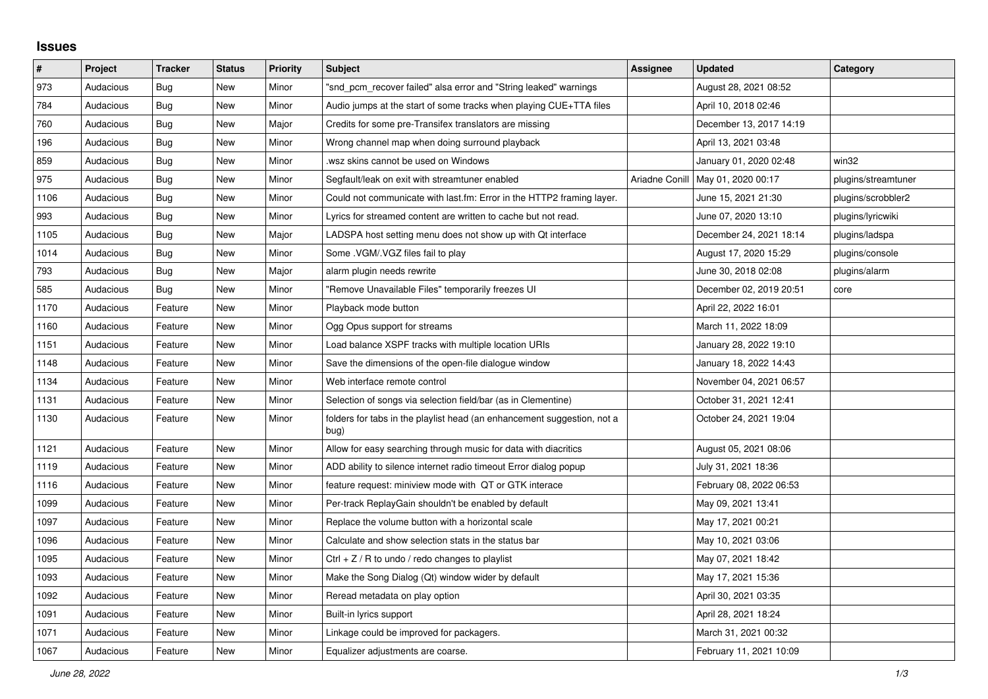## **Issues**

| $\vert$ # | Project   | <b>Tracker</b> | <b>Status</b> | <b>Priority</b> | <b>Subject</b>                                                                  | <b>Assignee</b> | <b>Updated</b>                      | Category            |
|-----------|-----------|----------------|---------------|-----------------|---------------------------------------------------------------------------------|-----------------|-------------------------------------|---------------------|
| 973       | Audacious | Bug            | New           | Minor           | "snd pcm recover failed" alsa error and "String leaked" warnings                |                 | August 28, 2021 08:52               |                     |
| 784       | Audacious | Bug            | <b>New</b>    | Minor           | Audio jumps at the start of some tracks when playing CUE+TTA files              |                 | April 10, 2018 02:46                |                     |
| 760       | Audacious | Bug            | <b>New</b>    | Major           | Credits for some pre-Transifex translators are missing                          |                 | December 13, 2017 14:19             |                     |
| 196       | Audacious | <b>Bug</b>     | <b>New</b>    | Minor           | Wrong channel map when doing surround playback                                  |                 | April 13, 2021 03:48                |                     |
| 859       | Audacious | Bug            | New           | Minor           | wsz skins cannot be used on Windows                                             |                 | January 01, 2020 02:48              | win32               |
| 975       | Audacious | <b>Bug</b>     | New           | Minor           | Segfault/leak on exit with streamtuner enabled                                  |                 | Ariadne Conill   May 01, 2020 00:17 | plugins/streamtuner |
| 1106      | Audacious | Bug            | New           | Minor           | Could not communicate with last.fm: Error in the HTTP2 framing layer.           |                 | June 15, 2021 21:30                 | plugins/scrobbler2  |
| 993       | Audacious | Bug            | <b>New</b>    | Minor           | Lyrics for streamed content are written to cache but not read.                  |                 | June 07, 2020 13:10                 | plugins/lyricwiki   |
| 1105      | Audacious | Bug            | New           | Major           | LADSPA host setting menu does not show up with Qt interface                     |                 | December 24, 2021 18:14             | plugins/ladspa      |
| 1014      | Audacious | <b>Bug</b>     | New           | Minor           | Some .VGM/.VGZ files fail to play                                               |                 | August 17, 2020 15:29               | plugins/console     |
| 793       | Audacious | <b>Bug</b>     | <b>New</b>    | Major           | alarm plugin needs rewrite                                                      |                 | June 30, 2018 02:08                 | plugins/alarm       |
| 585       | Audacious | Bug            | <b>New</b>    | Minor           | "Remove Unavailable Files" temporarily freezes UI                               |                 | December 02, 2019 20:51             | core                |
| 1170      | Audacious | Feature        | New           | Minor           | Playback mode button                                                            |                 | April 22, 2022 16:01                |                     |
| 1160      | Audacious | Feature        | New           | Minor           | Ogg Opus support for streams                                                    |                 | March 11, 2022 18:09                |                     |
| 1151      | Audacious | Feature        | <b>New</b>    | Minor           | Load balance XSPF tracks with multiple location URIs                            |                 | January 28, 2022 19:10              |                     |
| 1148      | Audacious | Feature        | New           | Minor           | Save the dimensions of the open-file dialogue window                            |                 | January 18, 2022 14:43              |                     |
| 1134      | Audacious | Feature        | New           | Minor           | Web interface remote control                                                    |                 | November 04, 2021 06:57             |                     |
| 1131      | Audacious | Feature        | <b>New</b>    | Minor           | Selection of songs via selection field/bar (as in Clementine)                   |                 | October 31, 2021 12:41              |                     |
| 1130      | Audacious | Feature        | New           | Minor           | folders for tabs in the playlist head (an enhancement suggestion, not a<br>bug) |                 | October 24, 2021 19:04              |                     |
| 1121      | Audacious | Feature        | New           | Minor           | Allow for easy searching through music for data with diacritics                 |                 | August 05, 2021 08:06               |                     |
| 1119      | Audacious | Feature        | New           | Minor           | ADD ability to silence internet radio timeout Error dialog popup                |                 | July 31, 2021 18:36                 |                     |
| 1116      | Audacious | Feature        | New           | Minor           | feature request: miniview mode with QT or GTK interace                          |                 | February 08, 2022 06:53             |                     |
| 1099      | Audacious | Feature        | New           | Minor           | Per-track ReplayGain shouldn't be enabled by default                            |                 | May 09, 2021 13:41                  |                     |
| 1097      | Audacious | Feature        | <b>New</b>    | Minor           | Replace the volume button with a horizontal scale                               |                 | May 17, 2021 00:21                  |                     |
| 1096      | Audacious | Feature        | New           | Minor           | Calculate and show selection stats in the status bar                            |                 | May 10, 2021 03:06                  |                     |
| 1095      | Audacious | Feature        | <b>New</b>    | Minor           | Ctrl $+$ Z / R to undo / redo changes to playlist                               |                 | May 07, 2021 18:42                  |                     |
| 1093      | Audacious | Feature        | <b>New</b>    | Minor           | Make the Song Dialog (Qt) window wider by default                               |                 | May 17, 2021 15:36                  |                     |
| 1092      | Audacious | Feature        | New           | Minor           | Reread metadata on play option                                                  |                 | April 30, 2021 03:35                |                     |
| 1091      | Audacious | Feature        | New           | Minor           | Built-in lyrics support                                                         |                 | April 28, 2021 18:24                |                     |
| 1071      | Audacious | Feature        | <b>New</b>    | Minor           | Linkage could be improved for packagers.                                        |                 | March 31, 2021 00:32                |                     |
| 1067      | Audacious | Feature        | <b>New</b>    | Minor           | Equalizer adjustments are coarse.                                               |                 | February 11, 2021 10:09             |                     |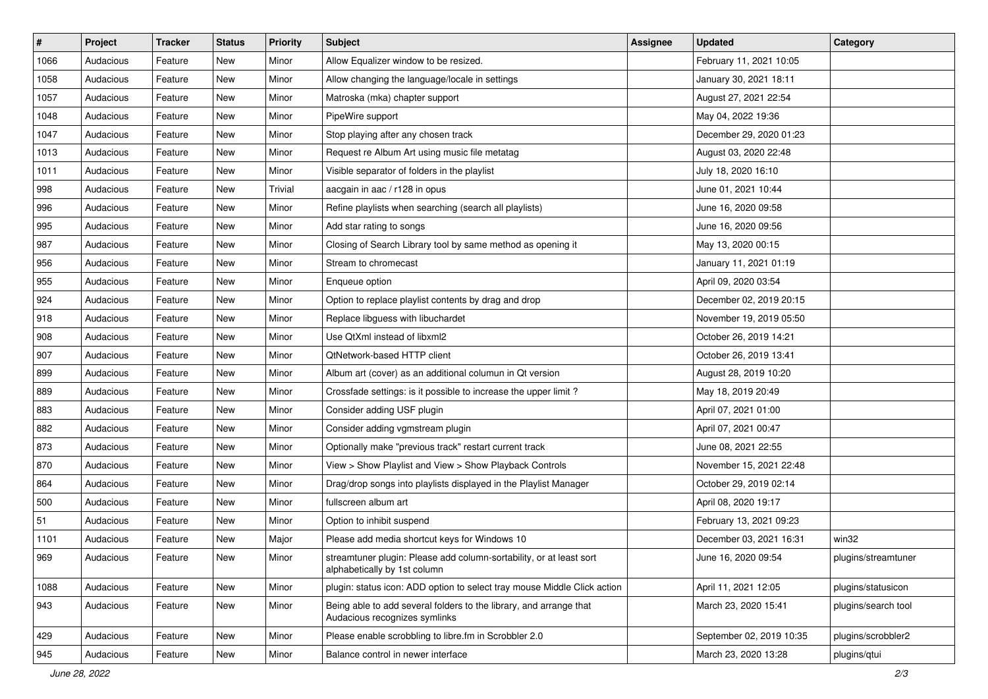| $\vert$ # | Project   | <b>Tracker</b> | <b>Status</b> | <b>Priority</b> | <b>Subject</b>                                                                                      | <b>Assignee</b> | <b>Updated</b>           | Category            |
|-----------|-----------|----------------|---------------|-----------------|-----------------------------------------------------------------------------------------------------|-----------------|--------------------------|---------------------|
| 1066      | Audacious | Feature        | New           | Minor           | Allow Equalizer window to be resized.                                                               |                 | February 11, 2021 10:05  |                     |
| 1058      | Audacious | Feature        | New           | Minor           | Allow changing the language/locale in settings                                                      |                 | January 30, 2021 18:11   |                     |
| 1057      | Audacious | Feature        | New           | Minor           | Matroska (mka) chapter support                                                                      |                 | August 27, 2021 22:54    |                     |
| 1048      | Audacious | Feature        | New           | Minor           | PipeWire support                                                                                    |                 | May 04, 2022 19:36       |                     |
| 1047      | Audacious | Feature        | New           | Minor           | Stop playing after any chosen track                                                                 |                 | December 29, 2020 01:23  |                     |
| 1013      | Audacious | Feature        | New           | Minor           | Request re Album Art using music file metatag                                                       |                 | August 03, 2020 22:48    |                     |
| 1011      | Audacious | Feature        | New           | Minor           | Visible separator of folders in the playlist                                                        |                 | July 18, 2020 16:10      |                     |
| 998       | Audacious | Feature        | New           | Trivial         | aacgain in aac / r128 in opus                                                                       |                 | June 01, 2021 10:44      |                     |
| 996       | Audacious | Feature        | New           | Minor           | Refine playlists when searching (search all playlists)                                              |                 | June 16, 2020 09:58      |                     |
| 995       | Audacious | Feature        | <b>New</b>    | Minor           | Add star rating to songs                                                                            |                 | June 16, 2020 09:56      |                     |
| 987       | Audacious | Feature        | New           | Minor           | Closing of Search Library tool by same method as opening it                                         |                 | May 13, 2020 00:15       |                     |
| 956       | Audacious | Feature        | New           | Minor           | Stream to chromecast                                                                                |                 | January 11, 2021 01:19   |                     |
| 955       | Audacious | Feature        | New           | Minor           | Enqueue option                                                                                      |                 | April 09, 2020 03:54     |                     |
| 924       | Audacious | Feature        | New           | Minor           | Option to replace playlist contents by drag and drop                                                |                 | December 02, 2019 20:15  |                     |
| 918       | Audacious | Feature        | New           | Minor           | Replace libguess with libuchardet                                                                   |                 | November 19, 2019 05:50  |                     |
| 908       | Audacious | Feature        | New           | Minor           | Use QtXml instead of libxml2                                                                        |                 | October 26, 2019 14:21   |                     |
| 907       | Audacious | Feature        | New           | Minor           | QtNetwork-based HTTP client                                                                         |                 | October 26, 2019 13:41   |                     |
| 899       | Audacious | Feature        | New           | Minor           | Album art (cover) as an additional columun in Qt version                                            |                 | August 28, 2019 10:20    |                     |
| 889       | Audacious | Feature        | New           | Minor           | Crossfade settings: is it possible to increase the upper limit?                                     |                 | May 18, 2019 20:49       |                     |
| 883       | Audacious | Feature        | New           | Minor           | Consider adding USF plugin                                                                          |                 | April 07, 2021 01:00     |                     |
| 882       | Audacious | Feature        | New           | Minor           | Consider adding vgmstream plugin                                                                    |                 | April 07, 2021 00:47     |                     |
| 873       | Audacious | Feature        | New           | Minor           | Optionally make "previous track" restart current track                                              |                 | June 08, 2021 22:55      |                     |
| 870       | Audacious | Feature        | New           | Minor           | View > Show Playlist and View > Show Playback Controls                                              |                 | November 15, 2021 22:48  |                     |
| 864       | Audacious | Feature        | New           | Minor           | Drag/drop songs into playlists displayed in the Playlist Manager                                    |                 | October 29, 2019 02:14   |                     |
| 500       | Audacious | Feature        | New           | Minor           | fullscreen album art                                                                                |                 | April 08, 2020 19:17     |                     |
| 51        | Audacious | Feature        | New           | Minor           | Option to inhibit suspend                                                                           |                 | February 13, 2021 09:23  |                     |
| 1101      | Audacious | Feature        | New           | Major           | Please add media shortcut keys for Windows 10                                                       |                 | December 03, 2021 16:31  | win32               |
| 969       | Audacious | Feature        | New           | Minor           | streamtuner plugin: Please add column-sortability, or at least sort<br>alphabetically by 1st column |                 | June 16, 2020 09:54      | plugins/streamtuner |
| 1088      | Audacious | Feature        | New           | Minor           | plugin: status icon: ADD option to select tray mouse Middle Click action                            |                 | April 11, 2021 12:05     | plugins/statusicon  |
| 943       | Audacious | Feature        | New           | Minor           | Being able to add several folders to the library, and arrange that<br>Audacious recognizes symlinks |                 | March 23, 2020 15:41     | plugins/search tool |
| 429       | Audacious | Feature        | New           | Minor           | Please enable scrobbling to libre.fm in Scrobbler 2.0                                               |                 | September 02, 2019 10:35 | plugins/scrobbler2  |
| 945       | Audacious | Feature        | New           | Minor           | Balance control in newer interface                                                                  |                 | March 23, 2020 13:28     | plugins/qtui        |